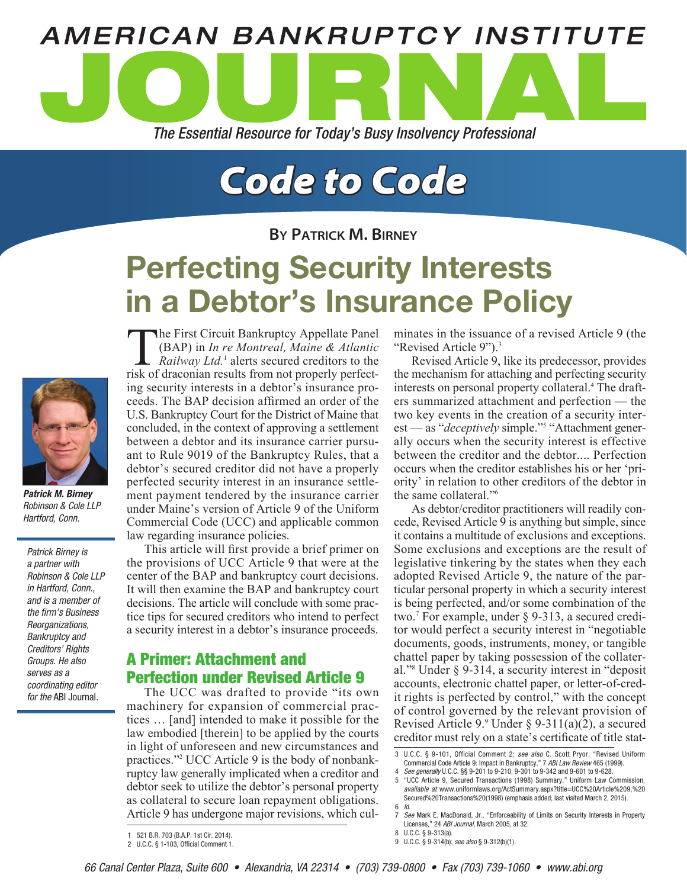

# *Code to Code*

**By Patrick M. Birney**

# Perfecting Security Interests in a Debtor's Insurance Policy



*Patrick M. Birney* Robinson & Cole LLP Hartford, Conn.

Patrick Birney is a partner with Robinson & Cole LLP in Hartford, Conn., and is a member of the firm's Business Reorganizations, Bankruptcy and Creditors' Rights Groups. He also serves as a coordinating editor for the ABI Journal.

**The First Circuit Bankruptcy Appellate Panel** (BAP) in *In re Montreal, Maine & Atlantic*  Railway Ltd.<sup>1</sup> alerts secured creditors to the risk of draconian results from not properly perfecting security interests in a debtor's insurance proceeds. The BAP decision affirmed an order of the U.S. Bankruptcy Court for the District of Maine that concluded, in the context of approving a settlement between a debtor and its insurance carrier pursuant to Rule 9019 of the Bankruptcy Rules, that a debtor's secured creditor did not have a properly perfected security interest in an insurance settlement payment tendered by the insurance carrier under Maine's version of Article 9 of the Uniform Commercial Code (UCC) and applicable common law regarding insurance policies.

This article will first provide a brief primer on the provisions of UCC Article 9 that were at the center of the BAP and bankruptcy court decisions. It will then examine the BAP and bankruptcy court decisions. The article will conclude with some practice tips for secured creditors who intend to perfect a security interest in a debtor's insurance proceeds.

# A Primer: Attachment and Perfection under Revised Article 9

The UCC was drafted to provide "its own machinery for expansion of commercial practices … [and] intended to make it possible for the law embodied [therein] to be applied by the courts in light of unforeseen and new circumstances and practices."2 UCC Article 9 is the body of nonbankruptcy law generally implicated when a creditor and debtor seek to utilize the debtor's personal property as collateral to secure loan repayment obligations. Article 9 has undergone major revisions, which culminates in the issuance of a revised Article 9 (the "Revised Article 9").3

Revised Article 9, like its predecessor, provides the mechanism for attaching and perfecting security interests on personal property collateral.<sup>4</sup> The drafters summarized attachment and perfection — the two key events in the creation of a security interest — as "*deceptively* simple."<sup>5</sup> "Attachment generally occurs when the security interest is effective between the creditor and the debtor.... Perfection occurs when the creditor establishes his or her 'priority' in relation to other creditors of the debtor in the same collateral."<sup>6</sup>

As debtor/creditor practitioners will readily concede, Revised Article 9 is anything but simple, since it contains a multitude of exclusions and exceptions. Some exclusions and exceptions are the result of legislative tinkering by the states when they each adopted Revised Article 9, the nature of the particular personal property in which a security interest is being perfected, and/or some combination of the two.7 For example, under § 9-313, a secured creditor would perfect a security interest in "negotiable documents, goods, instruments, money, or tangible chattel paper by taking possession of the collateral."8 Under § 9-314, a security interest in "deposit accounts, electronic chattel paper, or letter-of-credit rights is perfected by control," with the concept of control governed by the relevant provision of Revised Article 9. $\degree$  Under  $\degree$  9-311(a)(2), a secured creditor must rely on a state's certificate of title stat-

<sup>1</sup> 521 B.R. 703 (B.A.P. 1st Cir. 2014). 2 U.C.C. § 1-103, Official Comment 1.

<sup>3</sup> U.C.C. § 9-101, Official Comment 2; see also C. Scott Pryor, "Revised Uniform Commercial Code Article 9: Impact in Bankruptcy," 7 ABI Law Review 465 (1999).

<sup>4</sup> See generally U.C.C. §§ 9-201 to 9-210, 9-301 to 9-342 and 9-601 to 9-628.

<sup>5</sup> "UCC Article 9, Secured Transactions (1998) Summary," Uniform Law Commission, available at www.uniformlaws.org/ActSummary.aspx?title=UCC%20Article%209,%20 Secured%20Transactions%20(1998) (emphasis added; last visited March 2, 2015).  $6$  Id.

<sup>7</sup> *See* Mark E. MacDonald, Jr., "Enforceability of Limits on Security Interests in Property Licenses," 24 ABI Journal, March 2005, at 32.

<sup>8</sup> U.C.C. § 9-313(a).

<sup>9</sup> U.C.C. § 9-314(b); see also § 9-312(b)(1).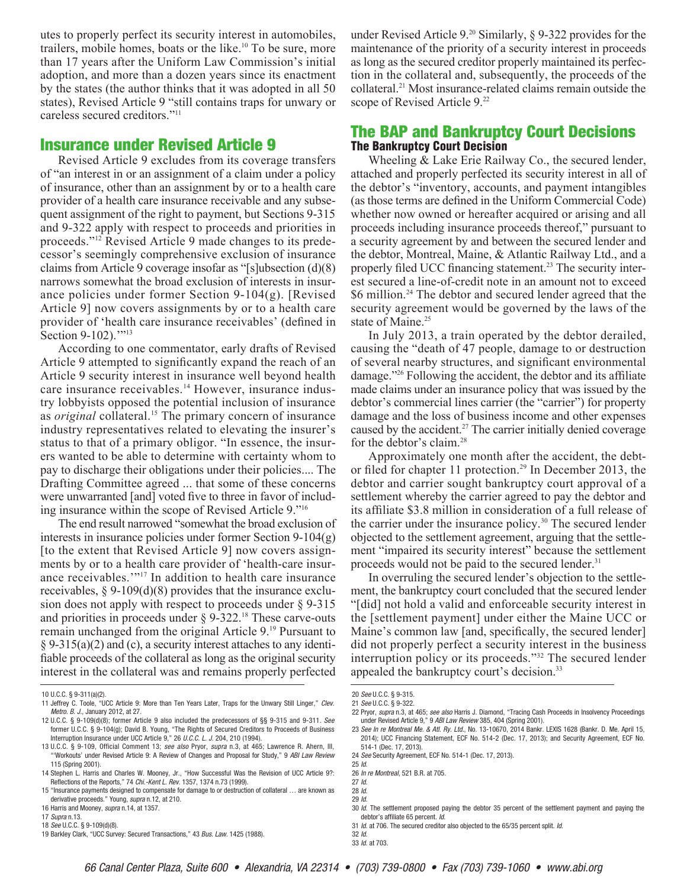utes to properly perfect its security interest in automobiles, trailers, mobile homes, boats or the like.10 To be sure, more than 17 years after the Uniform Law Commission's initial adoption, and more than a dozen years since its enactment by the states (the author thinks that it was adopted in all 50 states), Revised Article 9 "still contains traps for unwary or careless secured creditors."11

### Insurance under Revised Article 9

Revised Article 9 excludes from its coverage transfers of "an interest in or an assignment of a claim under a policy of insurance, other than an assignment by or to a health care provider of a health care insurance receivable and any subsequent assignment of the right to payment, but Sections 9-315 and 9-322 apply with respect to proceeds and priorities in proceeds."12 Revised Article 9 made changes to its predecessor's seemingly comprehensive exclusion of insurance claims from Article 9 coverage insofar as "[s]ubsection (d)(8) narrows somewhat the broad exclusion of interests in insurance policies under former Section 9-104(g). [Revised Article 9] now covers assignments by or to a health care provider of 'health care insurance receivables' (defined in Section 9-102)."<sup>13</sup>

According to one commentator, early drafts of Revised Article 9 attempted to significantly expand the reach of an Article 9 security interest in insurance well beyond health care insurance receivables.<sup>14</sup> However, insurance industry lobbyists opposed the potential inclusion of insurance as *original* collateral.<sup>15</sup> The primary concern of insurance industry representatives related to elevating the insurer's status to that of a primary obligor. "In essence, the insurers wanted to be able to determine with certainty whom to pay to discharge their obligations under their policies.... The Drafting Committee agreed ... that some of these concerns were unwarranted [and] voted five to three in favor of including insurance within the scope of Revised Article 9."16

The end result narrowed "somewhat the broad exclusion of interests in insurance policies under former Section 9-104(g) [to the extent that Revised Article 9] now covers assignments by or to a health care provider of 'health-care insurance receivables.'"17 In addition to health care insurance receivables,  $\S 9-109(d)(8)$  provides that the insurance exclusion does not apply with respect to proceeds under § 9-315 and priorities in proceeds under  $\S$  9-322.<sup>18</sup> These carve-outs remain unchanged from the original Article 9.19 Pursuant to § 9-315(a)(2) and (c), a security interest attaches to any identifiable proceeds of the collateral as long as the original security interest in the collateral was and remains properly perfected under Revised Article  $9^{20}$  Similarly, § 9-322 provides for the maintenance of the priority of a security interest in proceeds as long as the secured creditor properly maintained its perfection in the collateral and, subsequently, the proceeds of the collateral.21 Most insurance-related claims remain outside the scope of Revised Article 9.<sup>22</sup>

# The BAP and Bankruptcy Court Decisions The Bankruptcy Court Decision

Wheeling & Lake Erie Railway Co., the secured lender, attached and properly perfected its security interest in all of the debtor's "inventory, accounts, and payment intangibles (as those terms are defined in the Uniform Commercial Code) whether now owned or hereafter acquired or arising and all proceeds including insurance proceeds thereof," pursuant to a security agreement by and between the secured lender and the debtor, Montreal, Maine, & Atlantic Railway Ltd., and a properly filed UCC financing statement.<sup>23</sup> The security interest secured a line-of-credit note in an amount not to exceed \$6 million.24 The debtor and secured lender agreed that the security agreement would be governed by the laws of the state of Maine.<sup>25</sup>

In July 2013, a train operated by the debtor derailed, causing the "death of 47 people, damage to or destruction of several nearby structures, and significant environmental damage."26 Following the accident, the debtor and its affiliate made claims under an insurance policy that was issued by the debtor's commercial lines carrier (the "carrier") for property damage and the loss of business income and other expenses caused by the accident.<sup>27</sup> The carrier initially denied coverage for the debtor's claim.<sup>28</sup>

Approximately one month after the accident, the debtor filed for chapter 11 protection.<sup>29</sup> In December 2013, the debtor and carrier sought bankruptcy court approval of a settlement whereby the carrier agreed to pay the debtor and its affiliate \$3.8 million in consideration of a full release of the carrier under the insurance policy.30 The secured lender objected to the settlement agreement, arguing that the settlement "impaired its security interest" because the settlement proceeds would not be paid to the secured lender.<sup>31</sup>

In overruling the secured lender's objection to the settlement, the bankruptcy court concluded that the secured lender "[did] not hold a valid and enforceable security interest in the [settlement payment] under either the Maine UCC or Maine's common law [and, specifically, the secured lender] did not properly perfect a security interest in the business interruption policy or its proceeds."32 The secured lender appealed the bankruptcy court's decision.<sup>33</sup>

<sup>10</sup> U.C.C. § 9-311(a)(2).

<sup>11</sup> Jeffrey C. Toole, "UCC Article 9: More than Ten Years Later, Traps for the Unwary Still Linger," Clev. Metro. B. J., January 2012, at 27.

<sup>12</sup> U.C.C. § 9-109(d)(8); former Article 9 also included the predecessors of §§ 9-315 and 9-311. *See* former U.C.C. § 9-104(g); David B. Young, "The Rights of Secured Creditors to Proceeds of Business Interruption Insurance under UCC Article 9," 26 U.C.C. L. J. 204, 210 (1994).

<sup>13</sup> U.C.C. § 9-109, Official Comment 13; see also Pryor, supra n.3, at 465; Lawrence R. Ahern, III, "Workouts' under Revised Article 9: A Review of Changes and Proposal for Study," 9 ABI Law Review 115 (Spring 2001).

<sup>14</sup> Stephen L. Harris and Charles W. Mooney, Jr., "How Successful Was the Revision of UCC Article 9?: Reflections of the Reports," 74 Chi.-Kent L. Rev. 1357, 1374 n.73 (1999).

<sup>15</sup> "Insurance payments designed to compensate for damage to or destruction of collateral … are known as derivative proceeds." Young, supra n.12, at 210.

<sup>16</sup> Harris and Mooney, supra n.14, at 1357.

<sup>17</sup> *Supra* n.13.

<sup>18</sup> *See* U.C.C. § 9-109(d)(8).

<sup>19</sup> Barkley Clark, "UCC Survey: Secured Transactions," 43 Bus. Law. 1425 (1988).

<sup>20</sup> *See* U.C.C. § 9-315.

<sup>21</sup> *See* U.C.C. § 9-322.

<sup>22</sup> Pryor, supra n.3, at 465; see also Harris J. Diamond, "Tracing Cash Proceeds in Insolvency Proceedings under Revised Article 9," 9 ABI Law Review 385, 404 (Spring 2001).

<sup>23</sup> See In re Montreal Me. & Atl. Ry. Ltd., No. 13-10670, 2014 Bankr. LEXIS 1628 (Bankr. D. Me. April 15, 2014); UCC Financing Statement, ECF No. 514-2 (Dec. 17, 2013); and Security Agreement, ECF No. 514-1 (Dec. 17, 2013).

<sup>24</sup> *See* Security Agreement, ECF No. 514-1 (Dec. 17, 2013).

<sup>25</sup> Id.

<sup>26</sup> In re Montreal, 521 B.R. at 705.

<sup>27</sup> Id.

<sup>28</sup> Id. 29 Id.

<sup>30</sup> Id. The settlement proposed paying the debtor 35 percent of the settlement payment and paying the debtor's affiliate 65 percent. Id.

<sup>31</sup> Id. at 706. The secured creditor also objected to the 65/35 percent split. Id. 32 Id.

<sup>33</sup> Id. at 703.